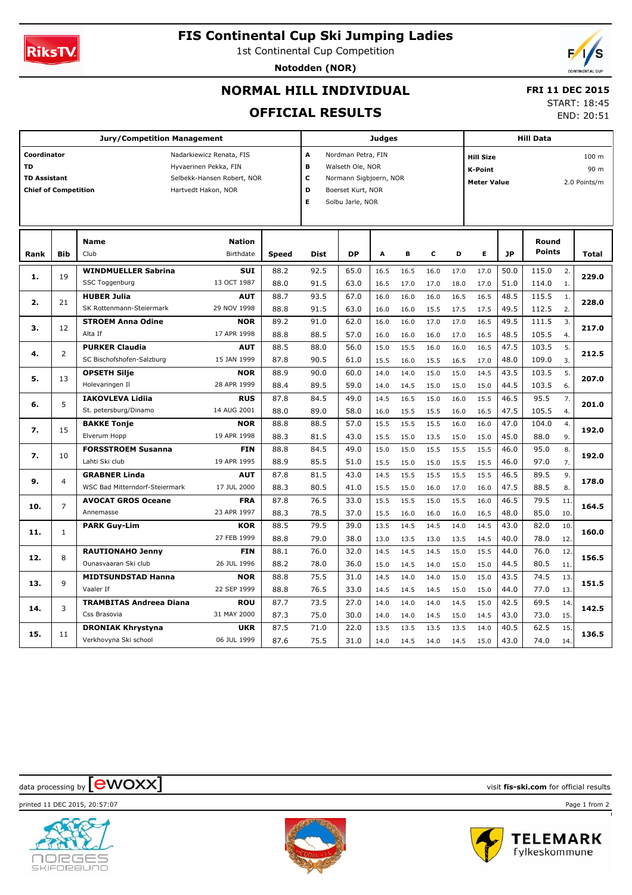

# **FIS Continental Cup Ski Jumping Ladies**

1st Continental Cup Competition

**Notodden (NOR)**



# **NORMAL HILL INDIVIDUAL**

 **FRI 11 DEC 2015** START: 18:45

END: 20:51

# **OFFICIAL RESULTS**

|                                                   |                                                    | <b>Jury/Competition Management</b>    | Judges        |              |                                  |                         |                   |      | <b>Hill Data</b> |      |                    |                                      |               |                  |              |  |  |
|---------------------------------------------------|----------------------------------------------------|---------------------------------------|---------------|--------------|----------------------------------|-------------------------|-------------------|------|------------------|------|--------------------|--------------------------------------|---------------|------------------|--------------|--|--|
| Coordinator<br>Nadarkiewicz Renata, FIS           |                                                    |                                       |               |              |                                  | A<br>Nordman Petra, FIN |                   |      |                  |      |                    | 100 <sub>m</sub><br><b>Hill Size</b> |               |                  |              |  |  |
| <b>TD</b><br>Hyvaerinen Pekka, FIN                |                                                    |                                       |               |              | $\, {\bf B}$<br>Walseth Ole, NOR |                         |                   |      |                  |      | <b>K-Point</b>     |                                      |               |                  | 90 m         |  |  |
| <b>TD Assistant</b><br>Selbekk-Hansen Robert, NOR |                                                    |                                       |               |              | C<br>Normann Sigbjoern, NOR      |                         |                   |      |                  |      | <b>Meter Value</b> |                                      |               |                  | 2.0 Points/m |  |  |
|                                                   | <b>Chief of Competition</b><br>Hartvedt Hakon, NOR |                                       |               |              |                                  |                         | Boerset Kurt, NOR |      |                  |      |                    |                                      |               |                  |              |  |  |
|                                                   |                                                    |                                       |               |              | Е                                | Solbu Jarle, NOR        |                   |      |                  |      |                    |                                      |               |                  |              |  |  |
|                                                   |                                                    |                                       |               |              |                                  |                         |                   |      |                  |      |                    |                                      |               |                  |              |  |  |
|                                                   |                                                    |                                       |               |              |                                  |                         |                   |      |                  |      |                    |                                      |               |                  |              |  |  |
|                                                   |                                                    | <b>Name</b>                           | <b>Nation</b> |              |                                  |                         |                   |      |                  |      |                    |                                      | Round         |                  |              |  |  |
| Rank                                              | <b>Bib</b>                                         | Club                                  | Birthdate     | <b>Speed</b> | <b>Dist</b>                      | <b>DP</b>               | A                 | в    | C                | D    | E                  | <b>JP</b>                            | <b>Points</b> |                  | <b>Total</b> |  |  |
| 1.                                                | 19                                                 | <b>WINDMUELLER Sabrina</b>            | SUI           | 88.2         | 92.5                             | 65.0                    | 16.5              | 16.5 | 16.0             | 17.0 | 17.0               | 50.0                                 | 115.0         | 2.               | 229.0        |  |  |
|                                                   |                                                    | SSC Toggenburg                        | 13 OCT 1987   | 88.0         | 91.5                             | 63.0                    | 16.5              | 17.0 | 17.0             | 18.0 | 17.0               | 51.0                                 | 114.0         | 1.               |              |  |  |
| 2.                                                |                                                    | <b>HUBER Julia</b>                    | AUT           | 88.7         | 93.5                             | 67.0                    | 16.0              | 16.0 | 16.0             | 16.5 | 16.5               | 48.5                                 | 115.5         | 1.               |              |  |  |
|                                                   | 21                                                 | SK Rottenmann-Steiermark              | 29 NOV 1998   | 88.8         | 91.5                             | 63.0                    | 16.0              | 16.0 | 15.5             | 17.5 | 17.5               | 49.5                                 | 112.5         | 2.               | 228.0        |  |  |
| з.                                                | 12                                                 | <b>STROEM Anna Odine</b>              | <b>NOR</b>    | 89.2         | 91.0                             | 62.0                    | 16.0              | 16.0 | 17.0             | 17.0 | 16.5               | 49.5                                 | 111.5         | $\overline{3}$ . |              |  |  |
|                                                   |                                                    | Alta If                               | 17 APR 1998   | 88.8         | 88.5                             | 57.0                    | 16.0              | 16.0 | 16.0             | 17.0 | 16.5               | 48.5                                 | 105.5         | 4.               | 217.0        |  |  |
| 4.                                                | 2                                                  | <b>PURKER Claudia</b>                 | <b>AUT</b>    | 88.5         | 88.0                             | 56.0                    | 15.0              | 15.5 | 16.0             | 16.0 | 16.5               | 47.5                                 | 103.5         | 5.               |              |  |  |
|                                                   |                                                    | SC Bischofshofen-Salzburg             | 15 JAN 1999   | 87.8         | 90.5                             | 61.0                    | 15.5              | 16.0 | 15.5             | 16.5 | 17.0               | 48.0                                 | 109.0         | 3.               | 212.5        |  |  |
| 5.                                                | 13                                                 | <b>OPSETH Silje</b>                   | <b>NOR</b>    | 88.9         | 90.0                             | 60.0                    | 14.0              | 14.0 | 15.0             | 15.0 | 14.5               | 43.5                                 | 103.5         | 5.               | 207.0        |  |  |
|                                                   |                                                    | Holevaringen Il                       | 28 APR 1999   | 88.4         | 89.5                             | 59.0                    | 14.0              | 14.5 | 15.0             | 15.0 | 15.0               | 44.5                                 | 103.5         | 6.               |              |  |  |
| 6.                                                |                                                    | <b>IAKOVLEVA Lidija</b>               | <b>RUS</b>    | 87.8         | 84.5                             | 49.0                    | 14.5              | 16.5 | 15.0             | 16.0 | 15.5               | 46.5                                 | 95.5          | 7.               |              |  |  |
|                                                   | 5                                                  | St. petersburg/Dinamo                 | 14 AUG 2001   | 88.0         | 89.0                             | 58.0                    | 16.0              | 15.5 | 15.5             | 16.0 | 16.5               | 47.5                                 | 105.5         | 4.               | 201.0        |  |  |
|                                                   | 15                                                 | <b>BAKKE Tonje</b>                    | <b>NOR</b>    | 88.8         | 88.5                             | 57.0                    | 15.5              | 15.5 | 15.5             | 16.0 | 16.0               | 47.0                                 | 104.0         | $\overline{4}$ . |              |  |  |
| 7.                                                |                                                    | Elverum Hopp                          | 19 APR 1998   | 88.3         | 81.5                             | 43.0                    | 15.5              | 15.0 | 13.5             | 15.0 | 15.0               | 45.0                                 | 88.0          | 9.               | 192.0        |  |  |
|                                                   | 10                                                 | <b>FORSSTROEM Susanna</b>             | <b>FIN</b>    | 88.8         | 84.5                             | 49.0                    | 15.0              | 15.0 | 15.5             | 15.5 | 15.5               | 46.0                                 | 95.0          | 8.               |              |  |  |
| 7.                                                |                                                    | Lahti Ski club                        | 19 APR 1995   | 88.9         | 85.5                             | 51.0                    | 15.5              | 15.0 | 15.0             | 15.5 | 15.5               | 46.0                                 | 97.0          | 7.               | 192.0        |  |  |
|                                                   |                                                    | <b>GRABNER Linda</b>                  | <b>AUT</b>    | 87.8         | 81.5                             | 43.0                    | 14.5              | 15.5 | 15.5             | 15.5 | 15.5               | 46.5                                 | 89.5          | 9.               | 178.0        |  |  |
| 9.                                                | 4                                                  | <b>WSC Bad Mitterndorf-Steiermark</b> | 17 JUL 2000   | 88.3         | 80.5                             | 41.0                    | 15.5              | 15.0 | 16.0             | 17.0 | 16.0               | 47.5                                 | 88.5          | 8.               |              |  |  |
|                                                   |                                                    | <b>AVOCAT GROS Oceane</b>             | <b>FRA</b>    | 87.8         | 76.5                             | 33.0                    | 15.5              | 15.5 | 15.0             | 15.5 | 16.0               | 46.5                                 | 79.5          | 11.              |              |  |  |
| 10.                                               | 7                                                  | Annemasse                             | 23 APR 1997   | 88.3         | 78.5                             | 37.0                    | 15.5              | 16.0 | 16.0             | 16.0 | 16.5               | 48.0                                 | 85.0          | 10.              | 164.5        |  |  |
|                                                   |                                                    | <b>PARK Guy-Lim</b>                   | <b>KOR</b>    | 88.5         | 79.5                             | 39.0                    | 13.5              | 14.5 | 14.5             | 14.0 | 14.5               | 43.0                                 | 82.0          | 10.              |              |  |  |
| 11.                                               | $\mathbf{1}$                                       |                                       | 27 FEB 1999   | 88.8         | 79.0                             | 38.0                    | 13.0              | 13.5 | 13.0             | 13.5 | 14.5               | 40.0                                 | 78.0          | 12.              | 160.0        |  |  |
|                                                   |                                                    | <b>RAUTIONAHO Jenny</b>               | <b>FIN</b>    | 88.1         | 76.0                             | 32.0                    | 14.5              | 14.5 | 14.5             | 15.0 | 15.5               | 44.0                                 | 76.0          | 12.              |              |  |  |
| 12.                                               | 8                                                  | Ounasvaaran Ski club                  | 26 JUL 1996   | 88.2         | 78.0                             | 36.0                    | 15.0              | 14.5 | 14.0             | 15.0 | 15.0               | 44.5                                 | 80.5          | 11.              | 156.5        |  |  |
|                                                   |                                                    | <b>MIDTSUNDSTAD Hanna</b>             | <b>NOR</b>    | 88.8         | 75.5                             | 31.0                    | 14.5              | 14.0 | 14.0             | 15.0 | 15.0               | 43.5                                 | 74.5          | 13.              |              |  |  |
| 13.                                               | $\mathsf q$                                        | Vaaler If                             | 22 SEP 1999   | 88.8         | 76.5                             | 33.0                    | 14.5              | 14.5 | 14.5             | 15.0 | 15.0               | 44.0                                 | 77.0          | 13.              | 151.5        |  |  |
|                                                   |                                                    | <b>TRAMBITAS Andreea Diana</b>        | <b>ROU</b>    | 87.7         | 73.5                             | 27.0                    | 14.0              | 14.0 | 14.0             | 14.5 | 15.0               | 42.5                                 | 69.5          | 14.              |              |  |  |
| 14.                                               | 3                                                  | Css Brasovia                          | 31 MAY 2000   | 87.3         | 75.0                             | 30.0                    | 14.0              | 14.0 | 14.5             | 15.0 | 14.5               | 43.0                                 | 73.0          | 15.              | 142.5        |  |  |
|                                                   |                                                    | <b>DRONIAK Khrystyna</b>              | <b>UKR</b>    | 87.5         | 71.0                             | 22.0                    | 13.5              | 13.5 | 13.5             | 13.5 | 14.0               | 40.5                                 | 62.5          | 15.              |              |  |  |
| 15.                                               | 11                                                 | Verkhovyna Ski school                 | 06 JUL 1999   | 87.6         | 75.5                             | 31.0                    | 14.0              | 14.5 | 14.0             | 14.5 | 15.0               | 43.0                                 | 74.0          | 14.              | 136.5        |  |  |





 $\frac{1}{2}$  data processing by  $\boxed{\text{ewOX}}$ 

printed 11 DEC 2015, 20:57:07 Page 1 from 2